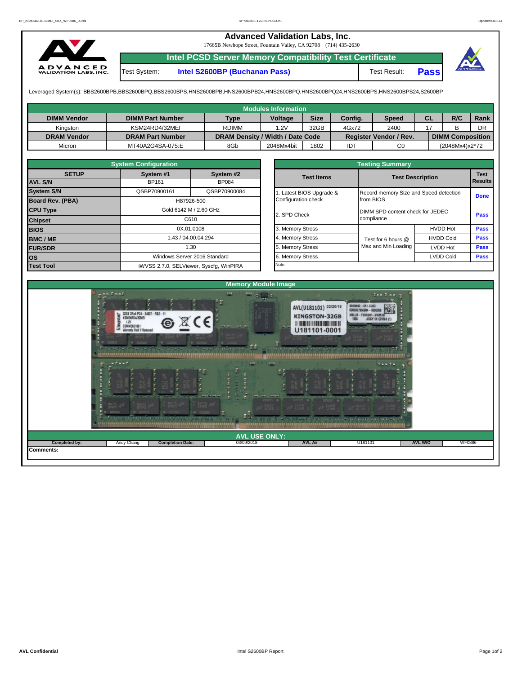## **Advanced Validation Labs, Inc.**

17665B Newhope Street, Fountain Valley, CA 92708 (714) 435-2630



**Intel PCSD Server Memory Compatibility Test Certificate** Test System: **Intel S2600BP (Buchanan Pass)** Test Result: **Pass**



Leveraged System(s): BBS2600BPB,BBS2600BPQ,BBS2600BPS,HNS2600BPB,HNS2600BPB24,HNS2600BPQ,HNS2600BPQ24,HNS2600BPS,HNS2600BPS24,S2600BP

|                    |                         |                                  | <b>Modules Information</b> |             |         |                               |           |                         |      |
|--------------------|-------------------------|----------------------------------|----------------------------|-------------|---------|-------------------------------|-----------|-------------------------|------|
| <b>DIMM Vendor</b> | <b>DIMM Part Number</b> | Type                             | <b>Voltage</b>             | <b>Size</b> | Config. | Speed                         | <b>CL</b> | R/C                     | Rank |
| Kinaston           | KSM24RD4/32MEI          | <b>RDIMM</b>                     | .2V                        | 32GB        | 4Gx72   | 2400                          |           |                         | DR   |
| <b>DRAM Vendor</b> | <b>DRAM Part Number</b> | DRAM Density / Width / Date Code |                            |             |         | <b>Register Vendor / Rev.</b> |           | <b>DIMM Composition</b> |      |
| Micron             | MT40A2G4SA-075:E        | 8Gb                              | 2048Mx4bit                 | 1802        | IDT     | C <sub>0</sub>                |           | (2048Mx4)x2*72          |      |

|                                | <b>System Configuration</b>                       |                              |                  | <b>Testing Summary</b> |                                        |                         |                        |  |  |  |  |  |  |
|--------------------------------|---------------------------------------------------|------------------------------|------------------|------------------------|----------------------------------------|-------------------------|------------------------|--|--|--|--|--|--|
| <b>SETUP</b><br><b>AVL S/N</b> | System #1<br>BP161                                | System #2<br><b>BP084</b>    |                  | <b>Test Items</b>      |                                        | <b>Test Description</b> | <b>Test</b><br>Results |  |  |  |  |  |  |
| <b>System S/N</b>              | QSBP70900161                                      | QSBP70900084                 |                  | Latest BIOS Upgrade &  | Record memory Size and Speed detection |                         |                        |  |  |  |  |  |  |
| <b>Board Rev. (PBA)</b>        |                                                   | H87926-500                   |                  | Configuration check    | from BIOS                              |                         | <b>Done</b>            |  |  |  |  |  |  |
| <b>CPU Type</b>                | Gold 6142 M / 2.60 GHz                            |                              |                  | 2. SPD Check           | DIMM SPD content check for JEDEC       | <b>Pass</b>             |                        |  |  |  |  |  |  |
| <b>Chipset</b>                 |                                                   |                              |                  |                        | compliance                             |                         |                        |  |  |  |  |  |  |
| <b>BIOS</b>                    |                                                   |                              |                  | 3. Memory Stress       |                                        | <b>HVDD Hot</b>         | <b>Pass</b>            |  |  |  |  |  |  |
| <b>BMC/ME</b>                  |                                                   |                              |                  | 4. Memory Stress       | Test for 6 hours @                     | <b>HVDD Cold</b>        | <b>Pass</b>            |  |  |  |  |  |  |
| <b>FUR/SDR</b>                 | C610<br>0X.01.0108<br>1.43 / 04.00.04.294<br>1.30 |                              | 5. Memory Stress | Max and Min Loading    | <b>LVDD Hot</b>                        | <b>Pass</b>             |                        |  |  |  |  |  |  |
| <b>los</b>                     |                                                   | Windows Server 2016 Standard |                  | 6. Memory Stress       |                                        | LVDD Cold               | <b>Pass</b>            |  |  |  |  |  |  |
| <b>Test Tool</b>               | iWVSS 2.7.0, SELViewer, Syscfq, WinPIRA           |                              |                  | Note:                  |                                        |                         |                        |  |  |  |  |  |  |

|              | <b>System Configuration</b> |                                    |                       | <b>Testing Summary</b> |                                                |                |  |  |
|--------------|-----------------------------|------------------------------------|-----------------------|------------------------|------------------------------------------------|----------------|--|--|
| <b>SETUP</b> | System #1                   | System #2                          | <b>Test Items</b>     |                        | <b>Test Description</b>                        |                |  |  |
|              | BP161                       | <b>BP084</b>                       |                       |                        |                                                | <b>Results</b> |  |  |
|              | QSBP70900161                | QSBP70900084                       | Latest BIOS Upgrade & |                        | Record memory Size and Speed detection         |                |  |  |
| PBA)         |                             | H87926-500                         | Configuration check   | from BIOS              |                                                |                |  |  |
|              |                             | Gold 6142 M / 2.60 GHz             | 2. SPD Check          |                        | DIMM SPD content check for JEDEC<br>compliance |                |  |  |
|              |                             | C610                               |                       |                        |                                                |                |  |  |
|              |                             | 0X.01.0108                         | 3. Memory Stress      |                        | <b>HVDD Hot</b>                                | Pass           |  |  |
|              |                             | 1.43 / 04.00.04.294                | 4. Memory Stress      | Test for 6 hours @     | <b>HVDD Cold</b>                               | Pass           |  |  |
|              |                             | 1.30                               | 5. Memory Stress      | Max and Min Loading    | LVDD Hot                                       | Pass           |  |  |
|              |                             | Windows Server 2016 Standard       |                       |                        | <b>LVDD Cold</b>                               |                |  |  |
|              |                             | iMVSS 270 SELViewer Svecta WinPIRA | Note:                 |                        |                                                |                |  |  |